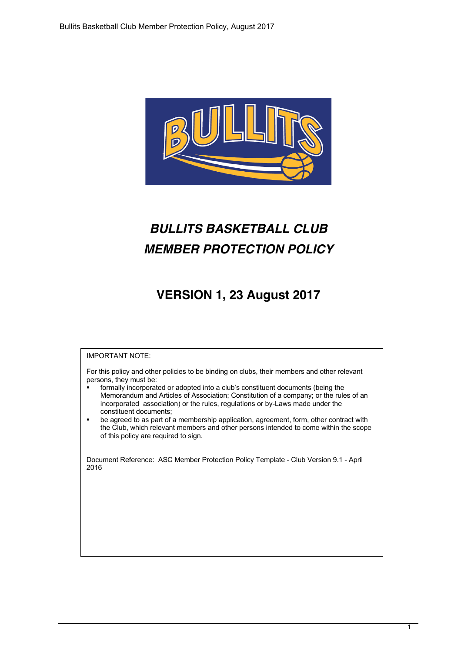

# *BULLITS BASKETBALL CLUB MEMBER PROTECTION POLICY*

## **VERSION 1, 23 August 2017**

### IMPORTANT NOTE:

For this policy and other policies to be binding on clubs, their members and other relevant persons, they must be:

- formally incorporated or adopted into a club's constituent documents (being the Memorandum and Articles of Association; Constitution of a company; or the rules of an incorporated association) or the rules, regulations or by-Laws made under the constituent documents;
- be agreed to as part of a membership application, agreement, form, other contract with the Club, which relevant members and other persons intended to come within the scope of this policy are required to sign.

Document Reference: ASC Member Protection Policy Template - Club Version 9.1 - April 2016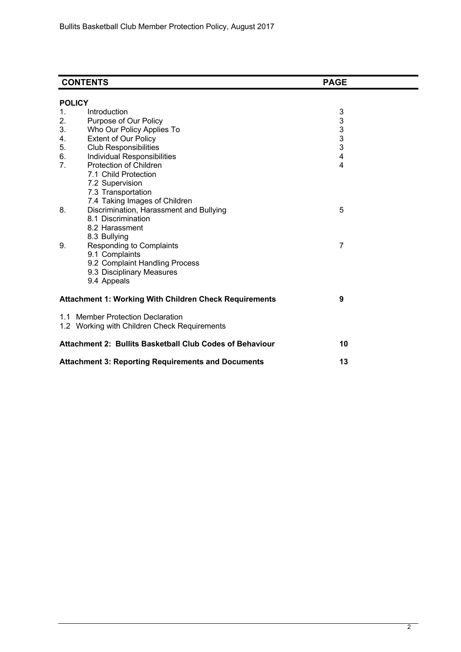|    | <b>CONTENTS</b>                                               | <b>PAGE</b>                                |  |  |  |  |
|----|---------------------------------------------------------------|--------------------------------------------|--|--|--|--|
|    | <b>POLICY</b>                                                 |                                            |  |  |  |  |
| 1. | Introduction                                                  | 3                                          |  |  |  |  |
| 2. | Purpose of Our Policy                                         |                                            |  |  |  |  |
| 3. | Who Our Policy Applies To                                     | $\begin{array}{c} 3 \\ 3 \\ 3 \end{array}$ |  |  |  |  |
| 4. | <b>Extent of Our Policy</b>                                   |                                            |  |  |  |  |
| 5. | <b>Club Responsibilities</b>                                  | 3                                          |  |  |  |  |
| 6. | Individual Responsibilities                                   | $\overline{\mathbf{4}}$                    |  |  |  |  |
| 7. | Protection of Children                                        | $\overline{4}$                             |  |  |  |  |
|    | 7.1 Child Protection                                          |                                            |  |  |  |  |
|    | 7.2 Supervision                                               |                                            |  |  |  |  |
|    | 7.3 Transportation                                            |                                            |  |  |  |  |
|    | 7.4 Taking Images of Children                                 |                                            |  |  |  |  |
| 8. | Discrimination, Harassment and Bullying                       | 5                                          |  |  |  |  |
|    | 8.1 Discrimination                                            |                                            |  |  |  |  |
|    | 8.2 Harassment                                                |                                            |  |  |  |  |
|    | 8.3 Bullying                                                  |                                            |  |  |  |  |
| 9. | <b>Responding to Complaints</b>                               | 7                                          |  |  |  |  |
|    | 9.1 Complaints                                                |                                            |  |  |  |  |
|    | 9.2 Complaint Handling Process                                |                                            |  |  |  |  |
|    | 9.3 Disciplinary Measures                                     |                                            |  |  |  |  |
|    | 9.4 Appeals                                                   |                                            |  |  |  |  |
|    |                                                               |                                            |  |  |  |  |
|    | <b>Attachment 1: Working With Children Check Requirements</b> | 9                                          |  |  |  |  |
|    | 1.1 Member Protection Declaration                             |                                            |  |  |  |  |
|    | 1.2 Working with Children Check Requirements                  |                                            |  |  |  |  |
|    |                                                               |                                            |  |  |  |  |
|    | Attachment 2: Bullits Basketball Club Codes of Behaviour      | 10                                         |  |  |  |  |
|    | <b>Attachment 3: Reporting Requirements and Documents</b>     | 13                                         |  |  |  |  |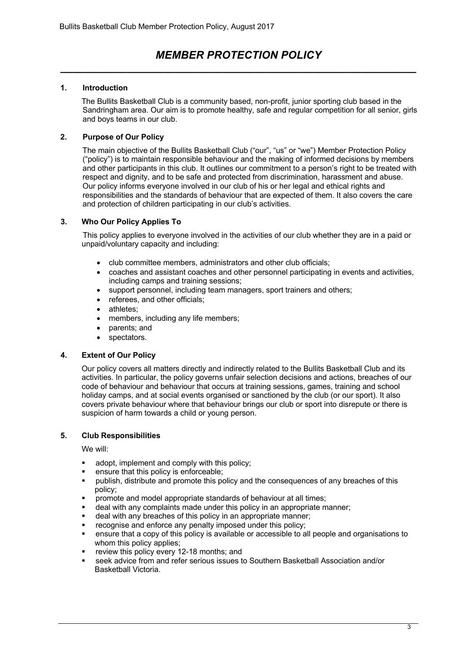## *MEMBER PROTECTION POLICY \_\_\_\_\_\_\_\_\_\_\_\_\_\_\_\_\_\_\_\_\_\_\_\_\_\_\_\_\_\_\_\_\_\_\_\_\_\_\_\_\_\_\_\_\_\_\_\_\_\_\_\_\_\_\_\_\_\_\_*

### **1. Introduction**

The Bullits Basketball Club is a community based, non-profit, junior sporting club based in the Sandringham area. Our aim is to promote healthy, safe and regular competition for all senior, girls and boys teams in our club.

### **2. Purpose of Our Policy**

The main objective of the Bullits Basketball Club ("our", "us" or "we") Member Protection Policy ("policy") is to maintain responsible behaviour and the making of informed decisions by members and other participants in this club. It outlines our commitment to a person's right to be treated with respect and dignity, and to be safe and protected from discrimination, harassment and abuse. Our policy informs everyone involved in our club of his or her legal and ethical rights and responsibilities and the standards of behaviour that are expected of them. It also covers the care and protection of children participating in our club's activities.

### **3. Who Our Policy Applies To**

This policy applies to everyone involved in the activities of our club whether they are in a paid or unpaid/voluntary capacity and including:

- club committee members, administrators and other club officials;
- coaches and assistant coaches and other personnel participating in events and activities, including camps and training sessions;
- support personnel, including team managers, sport trainers and others;
- referees, and other officials;
- athletes:
- members, including any life members;
- parents; and
- spectators.

#### **4. Extent of Our Policy**

Our policy covers all matters directly and indirectly related to the Bullits Basketball Club and its activities. In particular, the policy governs unfair selection decisions and actions, breaches of our code of behaviour and behaviour that occurs at training sessions, games, training and school holiday camps, and at social events organised or sanctioned by the club (or our sport). It also covers private behaviour where that behaviour brings our club or sport into disrepute or there is suspicion of harm towards a child or young person.

#### **5. Club Responsibilities**

We will:

- adopt, implement and comply with this policy;
- ensure that this policy is enforceable;
- publish, distribute and promote this policy and the consequences of any breaches of this policy;
- § promote and model appropriate standards of behaviour at all times;
- deal with any complaints made under this policy in an appropriate manner;
- deal with any breaches of this policy in an appropriate manner;
- recognise and enforce any penalty imposed under this policy;
- § ensure that a copy of this policy is available or accessible to all people and organisations to whom this policy applies;
- review this policy every 12-18 months; and
- § seek advice from and refer serious issues to Southern Basketball Association and/or Basketball Victoria.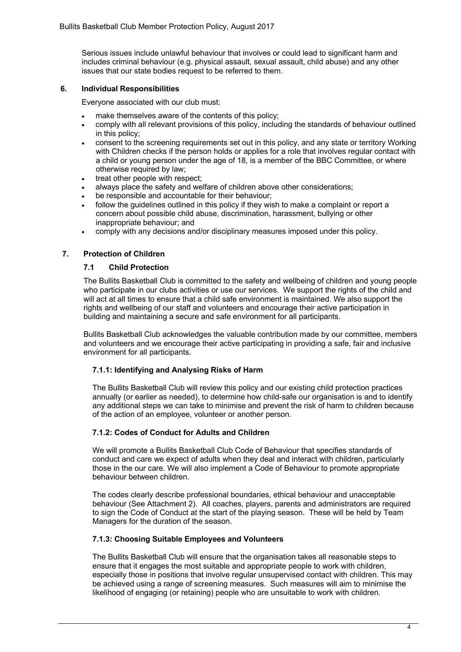Serious issues include unlawful behaviour that involves or could lead to significant harm and includes criminal behaviour (e.g. physical assault, sexual assault, child abuse) and any other issues that our state bodies request to be referred to them.

#### **6. Individual Responsibilities**

Everyone associated with our club must:

- make themselves aware of the contents of this policy:
- comply with all relevant provisions of this policy, including the standards of behaviour outlined in this policy;
- consent to the screening requirements set out in this policy, and any state or territory Working with Children checks if the person holds or applies for a role that involves regular contact with a child or young person under the age of 18, is a member of the BBC Committee, or where otherwise required by law;
- treat other people with respect;
- always place the safety and welfare of children above other considerations;
- be responsible and accountable for their behaviour;
- follow the quidelines outlined in this policy if they wish to make a complaint or report a concern about possible child abuse, discrimination, harassment, bullying or other inappropriate behaviour; and
- comply with any decisions and/or disciplinary measures imposed under this policy.

#### **7. Protection of Children**

#### **7.1 Child Protection**

The Bullits Basketball Club is committed to the safety and wellbeing of children and young people who participate in our clubs activities or use our services. We support the rights of the child and will act at all times to ensure that a child safe environment is maintained. We also support the rights and wellbeing of our staff and volunteers and encourage their active participation in building and maintaining a secure and safe environment for all participants.

Bullits Basketball Club acknowledges the valuable contribution made by our committee, members and volunteers and we encourage their active participating in providing a safe, fair and inclusive environment for all participants.

#### **7.1.1: Identifying and Analysing Risks of Harm**

The Bullits Basketball Club will review this policy and our existing child protection practices annually (or earlier as needed), to determine how child-safe our organisation is and to identify any additional steps we can take to minimise and prevent the risk of harm to children because of the action of an employee, volunteer or another person.

#### **7.1.2: Codes of Conduct for Adults and Children**

We will promote a Bullits Basketball Club Code of Behaviour that specifies standards of conduct and care we expect of adults when they deal and interact with children, particularly those in the our care. We will also implement a Code of Behaviour to promote appropriate behaviour between children.

The codes clearly describe professional boundaries, ethical behaviour and unacceptable behaviour (See Attachment 2). All coaches, players, parents and administrators are required to sign the Code of Conduct at the start of the playing season. These will be held by Team Managers for the duration of the season.

#### **7.1.3: Choosing Suitable Employees and Volunteers**

The Bullits Basketball Club will ensure that the organisation takes all reasonable steps to ensure that it engages the most suitable and appropriate people to work with children, especially those in positions that involve regular unsupervised contact with children. This may be achieved using a range of screening measures. Such measures will aim to minimise the likelihood of engaging (or retaining) people who are unsuitable to work with children.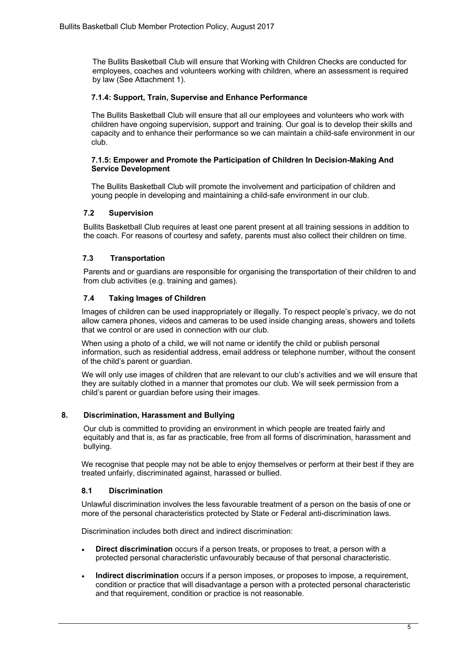The Bullits Basketball Club will ensure that Working with Children Checks are conducted for employees, coaches and volunteers working with children, where an assessment is required by law (See Attachment 1).

#### **7.1.4: Support, Train, Supervise and Enhance Performance**

The Bullits Basketball Club will ensure that all our employees and volunteers who work with children have ongoing supervision, support and training. Our goal is to develop their skills and capacity and to enhance their performance so we can maintain a child-safe environment in our club.

#### **7.1.5: Empower and Promote the Participation of Children In Decision-Making And Service Development**

The Bullits Basketball Club will promote the involvement and participation of children and young people in developing and maintaining a child-safe environment in our club.

#### **7.2 Supervision**

Bullits Basketball Club requires at least one parent present at all training sessions in addition to the coach. For reasons of courtesy and safety, parents must also collect their children on time.

#### **7.3 Transportation**

Parents and or guardians are responsible for organising the transportation of their children to and from club activities (e.g. training and games).

#### **7.4 Taking Images of Children**

Images of children can be used inappropriately or illegally. To respect people's privacy, we do not allow camera phones, videos and cameras to be used inside changing areas, showers and toilets that we control or are used in connection with our club.

When using a photo of a child, we will not name or identify the child or publish personal information, such as residential address, email address or telephone number, without the consent of the child's parent or guardian.

We will only use images of children that are relevant to our club's activities and we will ensure that they are suitably clothed in a manner that promotes our club. We will seek permission from a child's parent or guardian before using their images.

#### **8. Discrimination, Harassment and Bullying**

Our club is committed to providing an environment in which people are treated fairly and equitably and that is, as far as practicable, free from all forms of discrimination, harassment and bullying.

We recognise that people may not be able to enjoy themselves or perform at their best if they are treated unfairly, discriminated against, harassed or bullied.

#### **8.1 Discrimination**

Unlawful discrimination involves the less favourable treatment of a person on the basis of one or more of the personal characteristics protected by State or Federal anti-discrimination laws.

Discrimination includes both direct and indirect discrimination:

- **Direct discrimination** occurs if a person treats, or proposes to treat, a person with a protected personal characteristic unfavourably because of that personal characteristic.
- **Indirect discrimination** occurs if a person imposes, or proposes to impose, a requirement, condition or practice that will disadvantage a person with a protected personal characteristic and that requirement, condition or practice is not reasonable.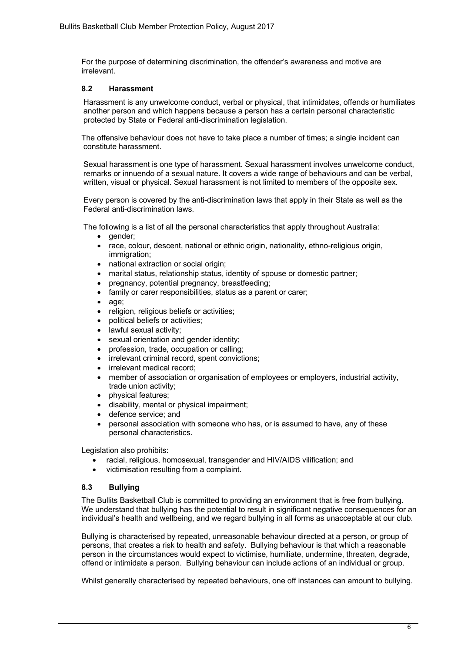For the purpose of determining discrimination, the offender's awareness and motive are irrelevant.

#### **8.2 Harassment**

Harassment is any unwelcome conduct, verbal or physical, that intimidates, offends or humiliates another person and which happens because a person has a certain personal characteristic protected by State or Federal anti-discrimination legislation.

The offensive behaviour does not have to take place a number of times; a single incident can constitute harassment.

Sexual harassment is one type of harassment. Sexual harassment involves unwelcome conduct, remarks or innuendo of a sexual nature. It covers a wide range of behaviours and can be verbal, written, visual or physical. Sexual harassment is not limited to members of the opposite sex.

Every person is covered by the anti-discrimination laws that apply in their State as well as the Federal anti-discrimination laws.

The following is a list of all the personal characteristics that apply throughout Australia:

- qender:
- race, colour, descent, national or ethnic origin, nationality, ethno-religious origin, immigration:
- national extraction or social origin;
- marital status, relationship status, identity of spouse or domestic partner;
- pregnancy, potential pregnancy, breastfeeding;
- family or carer responsibilities, status as a parent or carer;
- age;
- religion, religious beliefs or activities;
- political beliefs or activities;
- lawful sexual activity;
- sexual orientation and gender identity;
- profession, trade, occupation or calling;
- irrelevant criminal record, spent convictions;
- irrelevant medical record:
- member of association or organisation of employees or employers, industrial activity, trade union activity;
- physical features;
- disability, mental or physical impairment;
- defence service; and
- personal association with someone who has, or is assumed to have, any of these personal characteristics.

Legislation also prohibits:

- racial, religious, homosexual, transgender and HIV/AIDS vilification; and
- victimisation resulting from a complaint.

#### **8.3 Bullying**

The Bullits Basketball Club is committed to providing an environment that is free from bullying. We understand that bullying has the potential to result in significant negative consequences for an individual's health and wellbeing, and we regard bullying in all forms as unacceptable at our club.

Bullying is characterised by repeated, unreasonable behaviour directed at a person, or group of persons, that creates a risk to health and safety. Bullying behaviour is that which a reasonable person in the circumstances would expect to victimise, humiliate, undermine, threaten, degrade, offend or intimidate a person. Bullying behaviour can include actions of an individual or group.

Whilst generally characterised by repeated behaviours, one off instances can amount to bullying.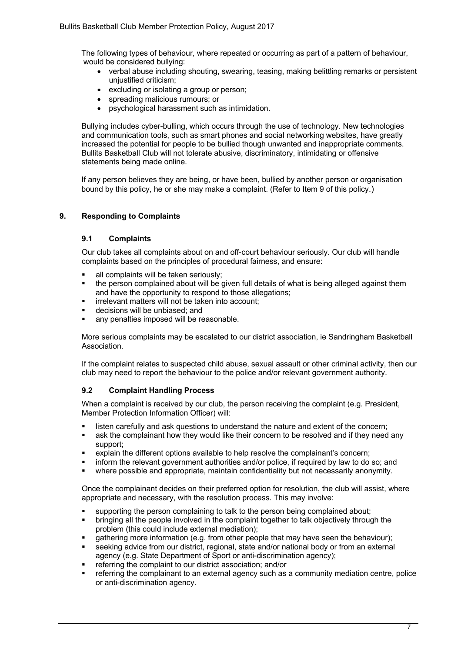The following types of behaviour, where repeated or occurring as part of a pattern of behaviour, would be considered bullying:

- verbal abuse including shouting, swearing, teasing, making belittling remarks or persistent unjustified criticism;
- excluding or isolating a group or person;
- spreading malicious rumours; or
- psychological harassment such as intimidation.

Bullying includes cyber-bulling, which occurs through the use of technology. New technologies and communication tools, such as smart phones and social networking websites, have greatly increased the potential for people to be bullied though unwanted and inappropriate comments. Bullits Basketball Club will not tolerate abusive, discriminatory, intimidating or offensive statements being made online.

If any person believes they are being, or have been, bullied by another person or organisation bound by this policy, he or she may make a complaint. (Refer to Item 9 of this policy.)

#### **9. Responding to Complaints**

#### **9.1 Complaints**

Our club takes all complaints about on and off-court behaviour seriously. Our club will handle complaints based on the principles of procedural fairness, and ensure:

- all complaints will be taken seriously;
- the person complained about will be given full details of what is being alleged against them and have the opportunity to respond to those allegations;
- **•** irrelevant matters will not be taken into account;
- **•** decisions will be unbiased; and
- any penalties imposed will be reasonable.

More serious complaints may be escalated to our district association, ie Sandringham Basketball Association.

If the complaint relates to suspected child abuse, sexual assault or other criminal activity, then our club may need to report the behaviour to the police and/or relevant government authority.

#### **9.2 Complaint Handling Process**

When a complaint is received by our club, the person receiving the complaint (e.g. President, Member Protection Information Officer) will:

- listen carefully and ask questions to understand the nature and extent of the concern;
- **■** ask the complainant how they would like their concern to be resolved and if they need any support;
- explain the different options available to help resolve the complainant's concern;
- inform the relevant government authorities and/or police, if required by law to do so; and
- § where possible and appropriate, maintain confidentiality but not necessarily anonymity.

Once the complainant decides on their preferred option for resolution, the club will assist, where appropriate and necessary, with the resolution process. This may involve:

- § supporting the person complaining to talk to the person being complained about;
- § bringing all the people involved in the complaint together to talk objectively through the problem (this could include external mediation);
- gathering more information (e.g. from other people that may have seen the behaviour);
- seeking advice from our district, regional, state and/or national body or from an external agency (e.g. State Department of Sport or anti-discrimination agency);
- referring the complaint to our district association: and/or
- referring the complainant to an external agency such as a community mediation centre, police or anti-discrimination agency.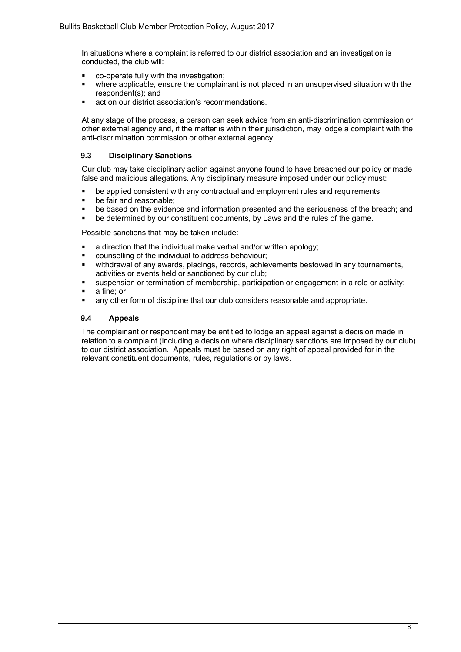In situations where a complaint is referred to our district association and an investigation is conducted, the club will:

- co-operate fully with the investigation;
- where applicable, ensure the complainant is not placed in an unsupervised situation with the respondent(s); and
- act on our district association's recommendations.

At any stage of the process, a person can seek advice from an anti-discrimination commission or other external agency and, if the matter is within their jurisdiction, may lodge a complaint with the anti-discrimination commission or other external agency.

#### **9.3 Disciplinary Sanctions**

Our club may take disciplinary action against anyone found to have breached our policy or made false and malicious allegations. Any disciplinary measure imposed under our policy must:

- be applied consistent with any contractual and employment rules and requirements;
- be fair and reasonable:
- be based on the evidence and information presented and the seriousness of the breach; and
- be determined by our constituent documents, by Laws and the rules of the game.

Possible sanctions that may be taken include:

- a direction that the individual make verbal and/or written apology;
- § counselling of the individual to address behaviour;
- withdrawal of any awards, placings, records, achievements bestowed in any tournaments, activities or events held or sanctioned by our club;
- § suspension or termination of membership, participation or engagement in a role or activity;
- § a fine; or
- **any other form of discipline that our club considers reasonable and appropriate.**

#### **9.4 Appeals**

The complainant or respondent may be entitled to lodge an appeal against a decision made in relation to a complaint (including a decision where disciplinary sanctions are imposed by our club) to our district association. Appeals must be based on any right of appeal provided for in the relevant constituent documents, rules, regulations or by laws.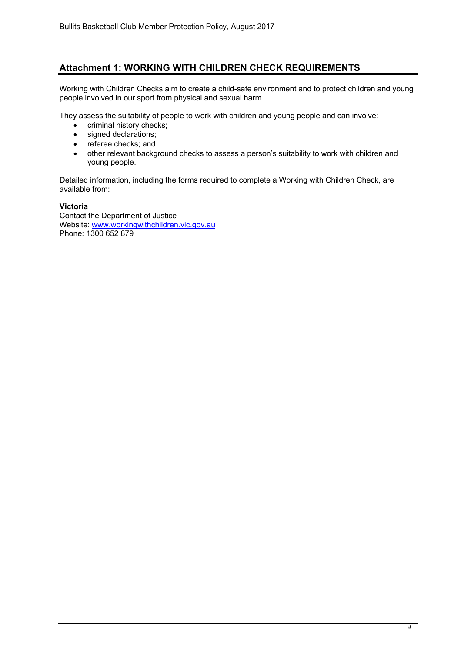## **Attachment 1: WORKING WITH CHILDREN CHECK REQUIREMENTS**

Working with Children Checks aim to create a child-safe environment and to protect children and young people involved in our sport from physical and sexual harm.

They assess the suitability of people to work with children and young people and can involve:

- criminal history checks;
- signed declarations:
- referee checks; and
- other relevant background checks to assess a person's suitability to work with children and young people.

Detailed information, including the forms required to complete a Working with Children Check, are available from:

#### **Victoria**

Contact the Department of Justice Website: www.workingwithchildren.vic.gov.au Phone: 1300 652 879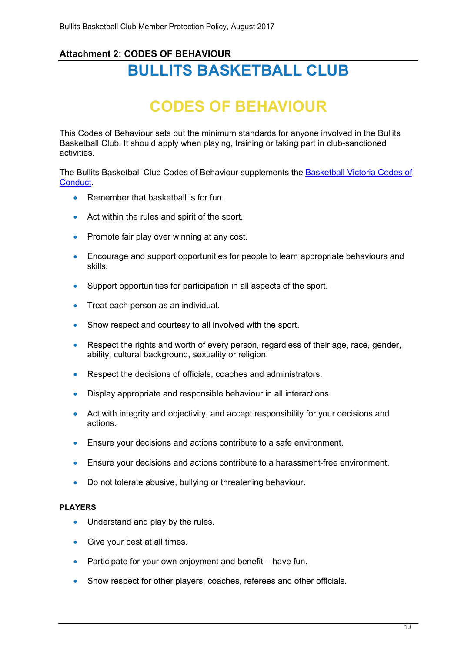## **Attachment 2: CODES OF BEHAVIOUR BULLITS BASKETBALL CLUB**

# **CODES OF BEHAVIOUR**

This Codes of Behaviour sets out the minimum standards for anyone involved in the Bullits Basketball Club. It should apply when playing, training or taking part in club-sanctioned activities.

The Bullits Basketball Club Codes of Behaviour supplements the Basketball Victoria Codes of Conduct.

- Remember that basketball is for fun.
- Act within the rules and spirit of the sport.
- Promote fair play over winning at any cost.
- Encourage and support opportunities for people to learn appropriate behaviours and skills.
- Support opportunities for participation in all aspects of the sport.
- Treat each person as an individual.
- Show respect and courtesy to all involved with the sport.
- Respect the rights and worth of every person, regardless of their age, race, gender, ability, cultural background, sexuality or religion.
- Respect the decisions of officials, coaches and administrators.
- Display appropriate and responsible behaviour in all interactions.
- Act with integrity and objectivity, and accept responsibility for your decisions and actions.
- Ensure your decisions and actions contribute to a safe environment.
- Ensure your decisions and actions contribute to a harassment-free environment.
- Do not tolerate abusive, bullying or threatening behaviour.

#### **PLAYERS**

- Understand and play by the rules.
- Give your best at all times.
- Participate for your own enjoyment and benefit have fun.
- Show respect for other players, coaches, referees and other officials.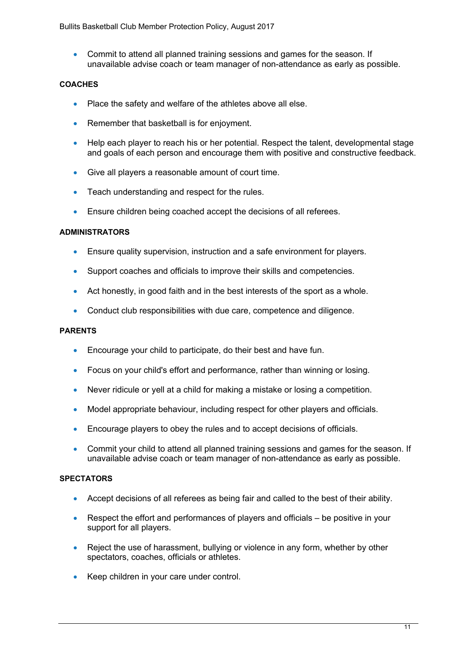• Commit to attend all planned training sessions and games for the season. If unavailable advise coach or team manager of non-attendance as early as possible.

## **COACHES**

- Place the safety and welfare of the athletes above all else.
- Remember that basketball is for enjoyment.
- Help each player to reach his or her potential. Respect the talent, developmental stage and goals of each person and encourage them with positive and constructive feedback.
- Give all players a reasonable amount of court time.
- Teach understanding and respect for the rules.
- Ensure children being coached accept the decisions of all referees.

## **ADMINISTRATORS**

- Ensure quality supervision, instruction and a safe environment for players.
- Support coaches and officials to improve their skills and competencies.
- Act honestly, in good faith and in the best interests of the sport as a whole.
- Conduct club responsibilities with due care, competence and diligence.

## **PARENTS**

- Encourage your child to participate, do their best and have fun.
- Focus on your child's effort and performance, rather than winning or losing.
- Never ridicule or yell at a child for making a mistake or losing a competition.
- Model appropriate behaviour, including respect for other players and officials.
- Encourage players to obey the rules and to accept decisions of officials.
- Commit your child to attend all planned training sessions and games for the season. If unavailable advise coach or team manager of non-attendance as early as possible.

## **SPECTATORS**

- Accept decisions of all referees as being fair and called to the best of their ability.
- Respect the effort and performances of players and officials be positive in your support for all players.
- Reject the use of harassment, bullying or violence in any form, whether by other spectators, coaches, officials or athletes.
- Keep children in your care under control.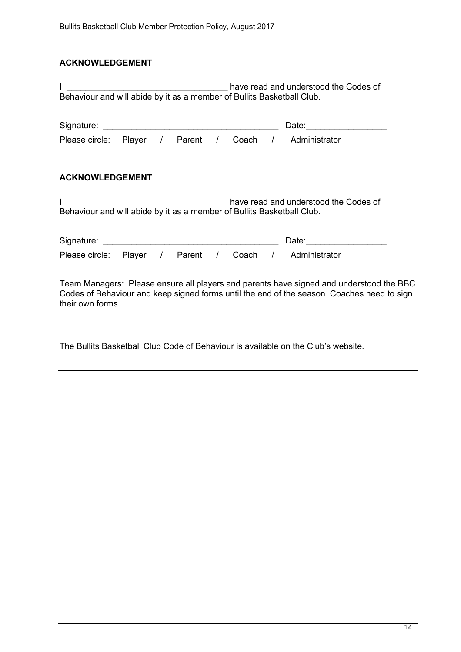## **ACKNOWLEDGEMENT**

| Behaviour and will abide by it as a member of Bullits Basketball Club.                                          |  |  |  |  |  |  |                                                                                                                                                                                                                                |
|-----------------------------------------------------------------------------------------------------------------|--|--|--|--|--|--|--------------------------------------------------------------------------------------------------------------------------------------------------------------------------------------------------------------------------------|
|                                                                                                                 |  |  |  |  |  |  |                                                                                                                                                                                                                                |
|                                                                                                                 |  |  |  |  |  |  | Please circle: Player / Parent / Coach / Administrator                                                                                                                                                                         |
|                                                                                                                 |  |  |  |  |  |  |                                                                                                                                                                                                                                |
| <b>ACKNOWLEDGEMENT</b>                                                                                          |  |  |  |  |  |  |                                                                                                                                                                                                                                |
| have read and understood the Codes of<br>Behaviour and will abide by it as a member of Bullits Basketball Club. |  |  |  |  |  |  |                                                                                                                                                                                                                                |
|                                                                                                                 |  |  |  |  |  |  | Date: the contract of the contract of the contract of the contract of the contract of the contract of the contract of the contract of the contract of the contract of the contract of the contract of the contract of the cont |
| Please circle: Player / Parent / Coach /                                                                        |  |  |  |  |  |  | Administrator                                                                                                                                                                                                                  |
| their own forms.                                                                                                |  |  |  |  |  |  | Team Managers: Please ensure all players and parents have signed and understood the BBC<br>Codes of Behaviour and keep signed forms until the end of the season. Coaches need to sign                                          |

The Bullits Basketball Club Code of Behaviour is available on the Club's website.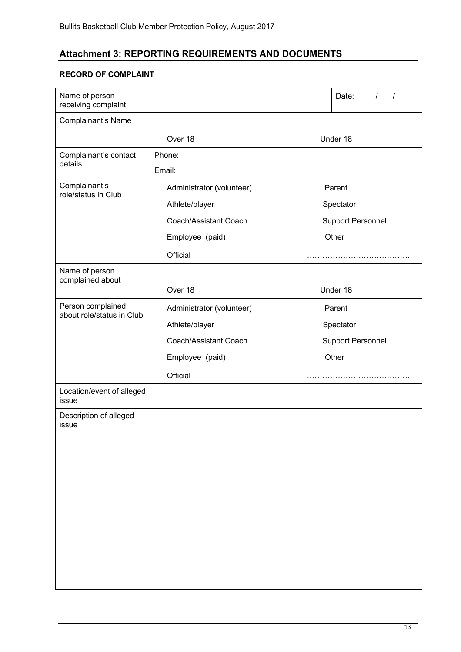## **Attachment 3: REPORTING REQUIREMENTS AND DOCUMENTS**

## **RECORD OF COMPLAINT**

| Name of person<br>receiving complaint          |                                                                                                     | Date:<br>$\prime$<br>$\prime$                            |  |  |
|------------------------------------------------|-----------------------------------------------------------------------------------------------------|----------------------------------------------------------|--|--|
| Complainant's Name                             |                                                                                                     |                                                          |  |  |
|                                                | Over 18                                                                                             | Under 18                                                 |  |  |
| Complainant's contact<br>details               | Phone:<br>Email:                                                                                    |                                                          |  |  |
| Complainant's<br>role/status in Club           | Administrator (volunteer)<br>Athlete/player<br>Coach/Assistant Coach<br>Employee (paid)<br>Official | Parent<br>Spectator<br><b>Support Personnel</b><br>Other |  |  |
| Name of person<br>complained about             | Over 18                                                                                             | Under 18                                                 |  |  |
| Person complained<br>about role/status in Club | Administrator (volunteer)<br>Athlete/player<br>Coach/Assistant Coach<br>Employee (paid)<br>Official | Parent<br>Spectator<br><b>Support Personnel</b><br>Other |  |  |
| Location/event of alleged<br>issue             |                                                                                                     |                                                          |  |  |
| Description of alleged<br>issue                |                                                                                                     |                                                          |  |  |